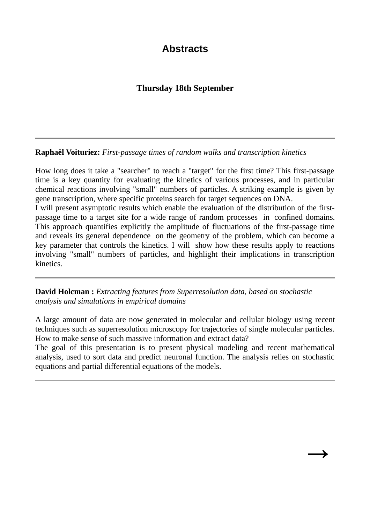## **Abstracts**

## **Thursday 18th September**

**Raphaël Voituriez:** *First-passage times of random walks and transcription kinetics*

How long does it take a "searcher" to reach a "target" for the first time? This first-passage time is a key quantity for evaluating the kinetics of various processes, and in particular chemical reactions involving "small" numbers of particles. A striking example is given by gene transcription, where specific proteins search for target sequences on DNA.

I will present asymptotic results which enable the evaluation of the distribution of the firstpassage time to a target site for a wide range of random processes in confined domains. This approach quantifies explicitly the amplitude of fluctuations of the first-passage time and reveals its general dependence on the geometry of the problem, which can become a key parameter that controls the kinetics. I will show how these results apply to reactions involving "small" numbers of particles, and highlight their implications in transcription kinetics.

**David Holcman :** *Extracting features from Superresolution data, based on stochastic analysis and simulations in empirical domains*

A large amount of data are now generated in molecular and cellular biology using recent techniques such as superresolution microscopy for trajectories of single molecular particles. How to make sense of such massive information and extract data?

The goal of this presentation is to present physical modeling and recent mathematical analysis, used to sort data and predict neuronal function. The analysis relies on stochastic equations and partial differential equations of the models.

 $\rightarrow$